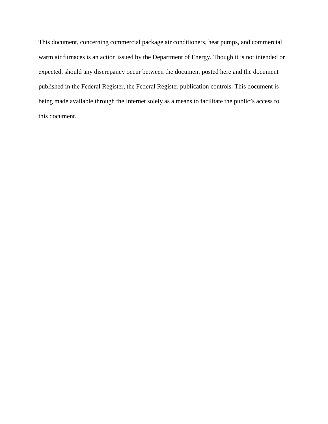This document, concerning commercial package air conditioners, heat pumps, and commercial warm air furnaces is an action issued by the Department of Energy. Though it is not intended or expected, should any discrepancy occur between the document posted here and the document published in the Federal Register, the Federal Register publication controls. This document is being made available through the Internet solely as a means to facilitate the public's access to this document.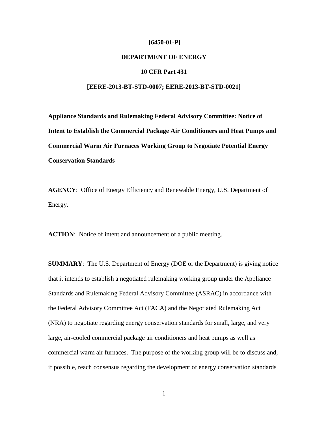#### **[6450-01-P]**

# **DEPARTMENT OF ENERGY**

# **10 CFR Part 431**

### **[EERE-2013-BT-STD-0007; EERE-2013-BT-STD-0021]**

**Appliance Standards and Rulemaking Federal Advisory Committee: Notice of Intent to Establish the Commercial Package Air Conditioners and Heat Pumps and Commercial Warm Air Furnaces Working Group to Negotiate Potential Energy Conservation Standards** 

**AGENCY**: Office of Energy Efficiency and Renewable Energy, U.S. Department of Energy.

**ACTION**: Notice of intent and announcement of a public meeting.

**SUMMARY**: The U.S. Department of Energy (DOE or the Department) is giving notice that it intends to establish a negotiated rulemaking working group under the Appliance Standards and Rulemaking Federal Advisory Committee (ASRAC) in accordance with the Federal Advisory Committee Act (FACA) and the Negotiated Rulemaking Act (NRA) to negotiate regarding energy conservation standards for small, large, and very large, air-cooled commercial package air conditioners and heat pumps as well as commercial warm air furnaces. The purpose of the working group will be to discuss and, if possible, reach consensus regarding the development of energy conservation standards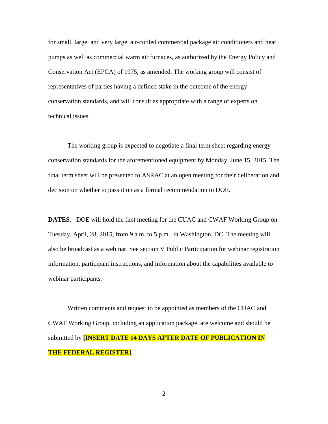for small, large, and very large, air-cooled commercial package air conditioners and heat pumps as well as commercial warm air furnaces, as authorized by the Energy Policy and Conservation Act (EPCA) of 1975, as amended. The working group will consist of representatives of parties having a defined stake in the outcome of the energy conservation standards, and will consult as appropriate with a range of experts on technical issues.

The working group is expected to negotiate a final term sheet regarding energy conservation standards for the aforementioned equipment by Monday, June 15, 2015. The final term sheet will be presented to ASRAC at an open meeting for their deliberation and decision on whether to pass it on as a formal recommendation to DOE.

**DATES**: DOE will hold the first meeting for the CUAC and CWAF Working Group on Tuesday, April, 28, 2015, from 9 a.m. to 5 p.m., in Washington, DC. The meeting will also be broadcast as a webinar. See section V Public Participation for webinar registration information, participant instructions, and information about the capabilities available to webinar participants.

Written comments and request to be appointed as members of the CUAC and CWAF Working Group, including an application package, are welcome and should be submitted by **[INSERT DATE 14 DAYS AFTER DATE OF PUBLICATION IN THE FEDERAL REGISTER]**.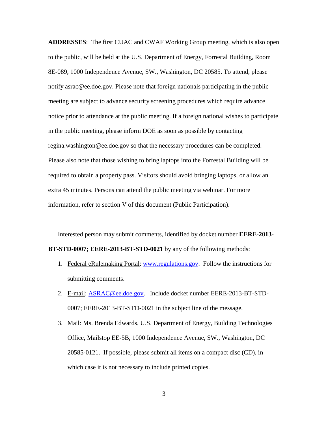**ADDRESSES**: The first CUAC and CWAF Working Group meeting, which is also open to the public, will be held at the U.S. Department of Energy, Forrestal Building, Room 8E-089, 1000 Independence Avenue, SW., Washington, DC 20585. To attend, please notify asrac@ee.doe.gov. Please note that foreign nationals participating in the public meeting are subject to advance security screening procedures which require advance notice prior to attendance at the public meeting. If a foreign national wishes to participate in the public meeting, please inform DOE as soon as possible by contacting regina.washington@ee.doe.gov so that the necessary procedures can be completed. Please also note that those wishing to bring laptops into the Forrestal Building will be required to obtain a property pass. Visitors should avoid bringing laptops, or allow an extra 45 minutes. Persons can attend the public meeting via webinar. For more information, refer to section V of this document (Public Participation).

Interested person may submit comments, identified by docket number **EERE-2013- BT-STD-0007; EERE-2013-BT-STD-0021** by any of the following methods:

- 1. Federal eRulemaking Portal: [www.regulations.gov.](http://www.regulations.gov/) Follow the instructions for submitting comments.
- 2. E-mail: [ASRAC@ee.doe.gov.](mailto:ASRACworkgroup2013NOC0023@ee.doe.gov) Include docket number EERE-2013-BT-STD-0007; EERE-2013-BT-STD-0021 in the subject line of the message.
- 3. Mail: Ms. Brenda Edwards, U.S. Department of Energy, Building Technologies Office, Mailstop EE-5B, 1000 Independence Avenue, SW., Washington, DC 20585-0121. If possible, please submit all items on a compact disc (CD), in which case it is not necessary to include printed copies.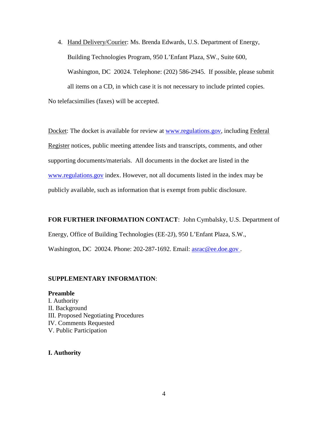4. Hand Delivery/Courier: Ms. Brenda Edwards, U.S. Department of Energy, Building Technologies Program, 950 L'Enfant Plaza, SW., Suite 600, Washington, DC 20024. Telephone: (202) 586-2945. If possible, please submit all items on a CD, in which case it is not necessary to include printed copies. No telefacsimilies (faxes) will be accepted.

Docket: The docket is available for review at [www.regulations.gov,](http://www.regulations.gov/) including Federal Register notices, public meeting attendee lists and transcripts, comments, and other supporting documents/materials. All documents in the docket are listed in the [www.regulations.gov](http://www.regulations.gov/) index. However, not all documents listed in the index may be publicly available, such as information that is exempt from public disclosure.

**FOR FURTHER INFORMATION CONTACT**: John Cymbalsky, U.S. Department of Energy, Office of Building Technologies (EE-2J), 950 L'Enfant Plaza, S.W., Washington, DC 20024. Phone: 202-287-1692. Email: **asrac@ee.doe.gov**.

## **SUPPLEMENTARY INFORMATION**:

**Preamble** I. Authority II. Background III. Proposed Negotiating Procedures IV. Comments Requested V. Public Participation

**I. Authority**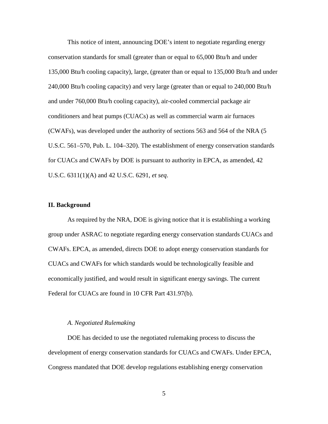This notice of intent, announcing DOE's intent to negotiate regarding energy conservation standards for small (greater than or equal to 65,000 Btu/h and under 135,000 Btu/h cooling capacity), large, (greater than or equal to 135,000 Btu/h and under 240,000 Btu/h cooling capacity) and very large (greater than or equal to 240,000 Btu/h and under 760,000 Btu/h cooling capacity), air-cooled commercial package air conditioners and heat pumps (CUACs) as well as commercial warm air furnaces (CWAFs), was developed under the authority of sections 563 and 564 of the NRA (5 U.S.C. 561–570, Pub. L. 104–320). The establishment of energy conservation standards for CUACs and CWAFs by DOE is pursuant to authority in EPCA, as amended, 42 U.S.C. 6311(1)(A) and 42 U.S.C. 6291, *et seq*.

### **II. Background**

As required by the NRA, DOE is giving notice that it is establishing a working group under ASRAC to negotiate regarding energy conservation standards CUACs and CWAFs. EPCA, as amended, directs DOE to adopt energy conservation standards for CUACs and CWAFs for which standards would be technologically feasible and economically justified, and would result in significant energy savings. The current Federal for CUACs are found in 10 CFR Part 431.97(b).

#### *A. Negotiated Rulemaking*

 DOE has decided to use the negotiated rulemaking process to discuss the development of energy conservation standards for CUACs and CWAFs. Under EPCA, Congress mandated that DOE develop regulations establishing energy conservation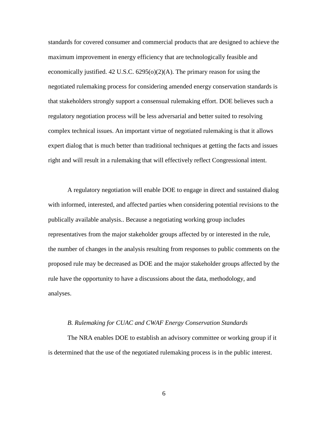standards for covered consumer and commercial products that are designed to achieve the maximum improvement in energy efficiency that are technologically feasible and economically justified. 42 U.S.C.  $6295(0)(2)(A)$ . The primary reason for using the negotiated rulemaking process for considering amended energy conservation standards is that stakeholders strongly support a consensual rulemaking effort. DOE believes such a regulatory negotiation process will be less adversarial and better suited to resolving complex technical issues. An important virtue of negotiated rulemaking is that it allows expert dialog that is much better than traditional techniques at getting the facts and issues right and will result in a rulemaking that will effectively reflect Congressional intent.

 A regulatory negotiation will enable DOE to engage in direct and sustained dialog with informed, interested, and affected parties when considering potential revisions to the publically available analysis.. Because a negotiating working group includes representatives from the major stakeholder groups affected by or interested in the rule, the number of changes in the analysis resulting from responses to public comments on the proposed rule may be decreased as DOE and the major stakeholder groups affected by the rule have the opportunity to have a discussions about the data, methodology, and analyses.

### *B. Rulemaking for CUAC and CWAF Energy Conservation Standards*

 The NRA enables DOE to establish an advisory committee or working group if it is determined that the use of the negotiated rulemaking process is in the public interest.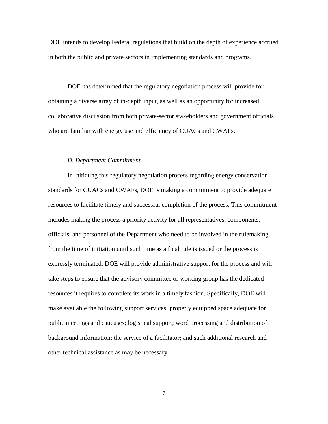DOE intends to develop Federal regulations that build on the depth of experience accrued in both the public and private sectors in implementing standards and programs.

 DOE has determined that the regulatory negotiation process will provide for obtaining a diverse array of in-depth input, as well as an opportunity for increased collaborative discussion from both private-sector stakeholders and government officials who are familiar with energy use and efficiency of CUACs and CWAFs.

# *D. Department Commitment*

In initiating this regulatory negotiation process regarding energy conservation standards for CUACs and CWAFs, DOE is making a commitment to provide adequate resources to facilitate timely and successful completion of the process. This commitment includes making the process a priority activity for all representatives, components, officials, and personnel of the Department who need to be involved in the rulemaking, from the time of initiation until such time as a final rule is issued or the process is expressly terminated. DOE will provide administrative support for the process and will take steps to ensure that the advisory committee or working group has the dedicated resources it requires to complete its work in a timely fashion. Specifically, DOE will make available the following support services: properly equipped space adequate for public meetings and caucuses; logistical support; word processing and distribution of background information; the service of a facilitator; and such additional research and other technical assistance as may be necessary.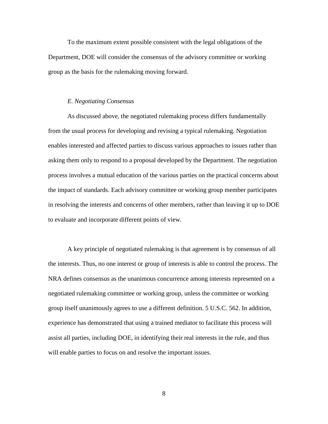To the maximum extent possible consistent with the legal obligations of the Department, DOE will consider the consensus of the advisory committee or working group as the basis for the rulemaking moving forward.

#### *E. Negotiating Consensus*

As discussed above, the negotiated rulemaking process differs fundamentally from the usual process for developing and revising a typical rulemaking. Negotiation enables interested and affected parties to discuss various approaches to issues rather than asking them only to respond to a proposal developed by the Department. The negotiation process involves a mutual education of the various parties on the practical concerns about the impact of standards. Each advisory committee or working group member participates in resolving the interests and concerns of other members, rather than leaving it up to DOE to evaluate and incorporate different points of view.

A key principle of negotiated rulemaking is that agreement is by consensus of all the interests. Thus, no one interest or group of interests is able to control the process. The NRA defines consensus as the unanimous concurrence among interests represented on a negotiated rulemaking committee or working group, unless the committee or working group itself unanimously agrees to use a different definition. 5 U.S.C. 562. In addition, experience has demonstrated that using a trained mediator to facilitate this process will assist all parties, including DOE, in identifying their real interests in the rule, and thus will enable parties to focus on and resolve the important issues.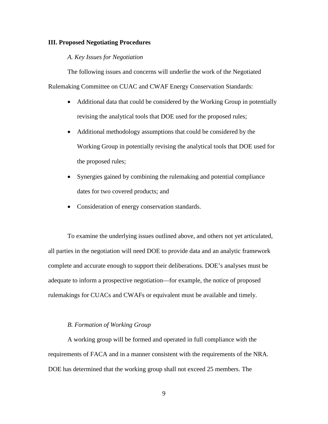### **III. Proposed Negotiating Procedures**

# *A. Key Issues for Negotiation*

 The following issues and concerns will underlie the work of the Negotiated Rulemaking Committee on CUAC and CWAF Energy Conservation Standards:

- Additional data that could be considered by the Working Group in potentially revising the analytical tools that DOE used for the proposed rules;
- Additional methodology assumptions that could be considered by the Working Group in potentially revising the analytical tools that DOE used for the proposed rules;
- Synergies gained by combining the rulemaking and potential compliance dates for two covered products; and
- Consideration of energy conservation standards.

 To examine the underlying issues outlined above, and others not yet articulated, all parties in the negotiation will need DOE to provide data and an analytic framework complete and accurate enough to support their deliberations. DOE's analyses must be adequate to inform a prospective negotiation—for example, the notice of proposed rulemakings for CUACs and CWAFs or equivalent must be available and timely.

# *B. Formation of Working Group*

A working group will be formed and operated in full compliance with the requirements of FACA and in a manner consistent with the requirements of the NRA. DOE has determined that the working group shall not exceed 25 members. The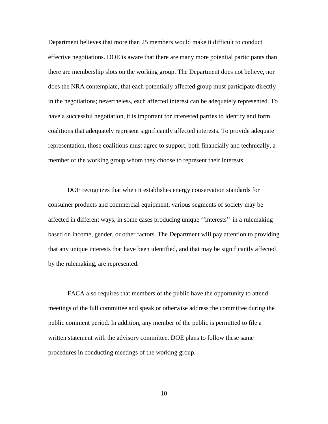Department believes that more than 25 members would make it difficult to conduct effective negotiations. DOE is aware that there are many more potential participants than there are membership slots on the working group. The Department does not believe, nor does the NRA contemplate, that each potentially affected group must participate directly in the negotiations; nevertheless, each affected interest can be adequately represented. To have a successful negotiation, it is important for interested parties to identify and form coalitions that adequately represent significantly affected interests. To provide adequate representation, those coalitions must agree to support, both financially and technically, a member of the working group whom they choose to represent their interests.

DOE recognizes that when it establishes energy conservation standards for consumer products and commercial equipment, various segments of society may be affected in different ways, in some cases producing unique ''interests'' in a rulemaking based on income, gender, or other factors. The Department will pay attention to providing that any unique interests that have been identified, and that may be significantly affected by the rulemaking, are represented.

FACA also requires that members of the public have the opportunity to attend meetings of the full committee and speak or otherwise address the committee during the public comment period. In addition, any member of the public is permitted to file a written statement with the advisory committee. DOE plans to follow these same procedures in conducting meetings of the working group.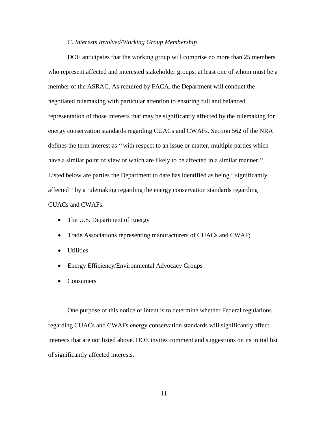### *C. Interests Involved/Working Group Membership*

DOE anticipates that the working group will comprise no more than 25 members who represent affected and interested stakeholder groups, at least one of whom must be a member of the ASRAC. As required by FACA, the Department will conduct the negotiated rulemaking with particular attention to ensuring full and balanced representation of those interests that may be significantly affected by the rulemaking for energy conservation standards regarding CUACs and CWAFs. Section 562 of the NRA defines the term interest as ''with respect to an issue or matter, multiple parties which have a similar point of view or which are likely to be affected in a similar manner." Listed below are parties the Department to date has identified as being ''significantly affected'' by a rulemaking regarding the energy conservation standards regarding CUACs and CWAFs.

- The U.S. Department of Energy
- Trade Associations representing manufacturers of CUACs and CWAF;
- Utilities
- Energy Efficiency/Environmental Advocacy Groups
- Consumers

 One purpose of this notice of intent is to determine whether Federal regulations regarding CUACs and CWAFs energy conservation standards will significantly affect interests that are not listed above. DOE invites comment and suggestions on its initial list of significantly affected interests.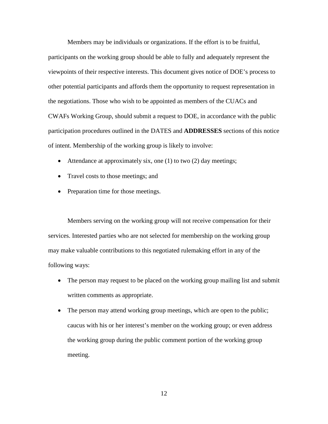Members may be individuals or organizations. If the effort is to be fruitful, participants on the working group should be able to fully and adequately represent the viewpoints of their respective interests. This document gives notice of DOE's process to other potential participants and affords them the opportunity to request representation in the negotiations. Those who wish to be appointed as members of the CUACs and CWAFs Working Group, should submit a request to DOE, in accordance with the public participation procedures outlined in the DATES and **ADDRESSES** sections of this notice of intent. Membership of the working group is likely to involve:

- Attendance at approximately six, one (1) to two (2) day meetings;
- Travel costs to those meetings; and
- Preparation time for those meetings.

 Members serving on the working group will not receive compensation for their services. Interested parties who are not selected for membership on the working group may make valuable contributions to this negotiated rulemaking effort in any of the following ways:

- The person may request to be placed on the working group mailing list and submit written comments as appropriate.
- The person may attend working group meetings, which are open to the public; caucus with his or her interest's member on the working group; or even address the working group during the public comment portion of the working group meeting.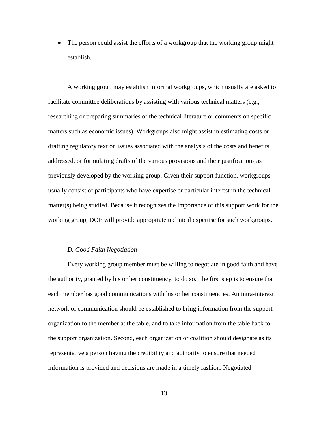• The person could assist the efforts of a workgroup that the working group might establish.

A working group may establish informal workgroups, which usually are asked to facilitate committee deliberations by assisting with various technical matters (e.g., researching or preparing summaries of the technical literature or comments on specific matters such as economic issues). Workgroups also might assist in estimating costs or drafting regulatory text on issues associated with the analysis of the costs and benefits addressed, or formulating drafts of the various provisions and their justifications as previously developed by the working group. Given their support function, workgroups usually consist of participants who have expertise or particular interest in the technical matter(s) being studied. Because it recognizes the importance of this support work for the working group, DOE will provide appropriate technical expertise for such workgroups.

#### *D. Good Faith Negotiation*

Every working group member must be willing to negotiate in good faith and have the authority, granted by his or her constituency, to do so. The first step is to ensure that each member has good communications with his or her constituencies. An intra-interest network of communication should be established to bring information from the support organization to the member at the table, and to take information from the table back to the support organization. Second, each organization or coalition should designate as its representative a person having the credibility and authority to ensure that needed information is provided and decisions are made in a timely fashion. Negotiated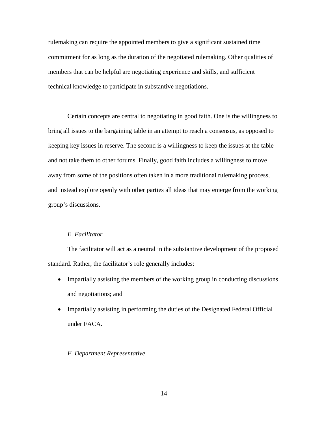rulemaking can require the appointed members to give a significant sustained time commitment for as long as the duration of the negotiated rulemaking. Other qualities of members that can be helpful are negotiating experience and skills, and sufficient technical knowledge to participate in substantive negotiations.

Certain concepts are central to negotiating in good faith. One is the willingness to bring all issues to the bargaining table in an attempt to reach a consensus, as opposed to keeping key issues in reserve. The second is a willingness to keep the issues at the table and not take them to other forums. Finally, good faith includes a willingness to move away from some of the positions often taken in a more traditional rulemaking process, and instead explore openly with other parties all ideas that may emerge from the working group's discussions.

# *E. Facilitator*

 The facilitator will act as a neutral in the substantive development of the proposed standard. Rather, the facilitator's role generally includes:

- Impartially assisting the members of the working group in conducting discussions and negotiations; and
- Impartially assisting in performing the duties of the Designated Federal Official under FACA.

### *F. Department Representative*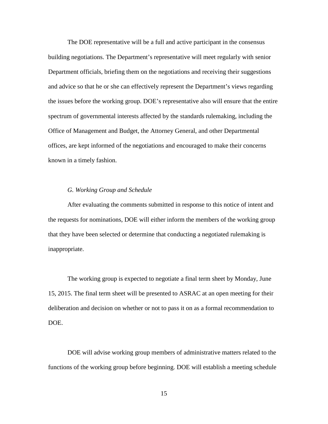The DOE representative will be a full and active participant in the consensus building negotiations. The Department's representative will meet regularly with senior Department officials, briefing them on the negotiations and receiving their suggestions and advice so that he or she can effectively represent the Department's views regarding the issues before the working group. DOE's representative also will ensure that the entire spectrum of governmental interests affected by the standards rulemaking, including the Office of Management and Budget, the Attorney General, and other Departmental offices, are kept informed of the negotiations and encouraged to make their concerns known in a timely fashion.

# *G. Working Group and Schedule*

After evaluating the comments submitted in response to this notice of intent and the requests for nominations, DOE will either inform the members of the working group that they have been selected or determine that conducting a negotiated rulemaking is inappropriate.

 The working group is expected to negotiate a final term sheet by Monday, June 15, 2015. The final term sheet will be presented to ASRAC at an open meeting for their deliberation and decision on whether or not to pass it on as a formal recommendation to DOE.

DOE will advise working group members of administrative matters related to the functions of the working group before beginning. DOE will establish a meeting schedule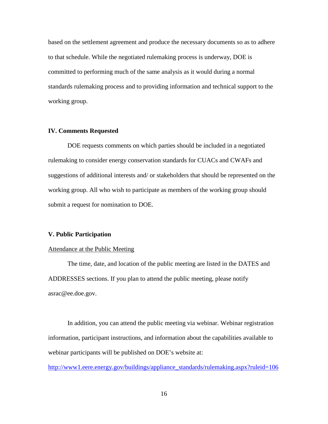based on the settlement agreement and produce the necessary documents so as to adhere to that schedule. While the negotiated rulemaking process is underway, DOE is committed to performing much of the same analysis as it would during a normal standards rulemaking process and to providing information and technical support to the working group.

### **IV. Comments Requested**

 DOE requests comments on which parties should be included in a negotiated rulemaking to consider energy conservation standards for CUACs and CWAFs and suggestions of additional interests and/ or stakeholders that should be represented on the working group. All who wish to participate as members of the working group should submit a request for nomination to DOE.

#### **V. Public Participation**

#### Attendance at the Public Meeting

 The time, date, and location of the public meeting are listed in the DATES and ADDRESSES sections. If you plan to attend the public meeting, please notify asrac@ee.doe.gov.

In addition, you can attend the public meeting via webinar. Webinar registration information, participant instructions, and information about the capabilities available to webinar participants will be published on DOE's website at:

[http://www1.eere.energy.gov/buildings/appliance\\_standards/rulemaking.aspx?ruleid=106](http://www1.eere.energy.gov/buildings/appliance_standards/rulemaking.aspx?ruleid=106)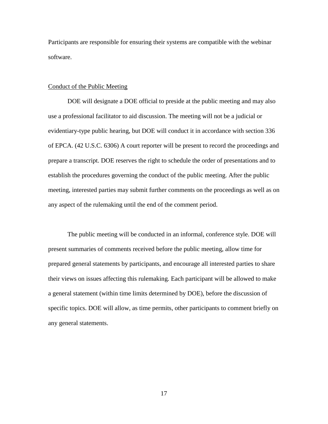Participants are responsible for ensuring their systems are compatible with the webinar software.

### Conduct of the Public Meeting

DOE will designate a DOE official to preside at the public meeting and may also use a professional facilitator to aid discussion. The meeting will not be a judicial or evidentiary-type public hearing, but DOE will conduct it in accordance with section 336 of EPCA. (42 U.S.C. 6306) A court reporter will be present to record the proceedings and prepare a transcript. DOE reserves the right to schedule the order of presentations and to establish the procedures governing the conduct of the public meeting. After the public meeting, interested parties may submit further comments on the proceedings as well as on any aspect of the rulemaking until the end of the comment period.

 The public meeting will be conducted in an informal, conference style. DOE will present summaries of comments received before the public meeting, allow time for prepared general statements by participants, and encourage all interested parties to share their views on issues affecting this rulemaking. Each participant will be allowed to make a general statement (within time limits determined by DOE), before the discussion of specific topics. DOE will allow, as time permits, other participants to comment briefly on any general statements.